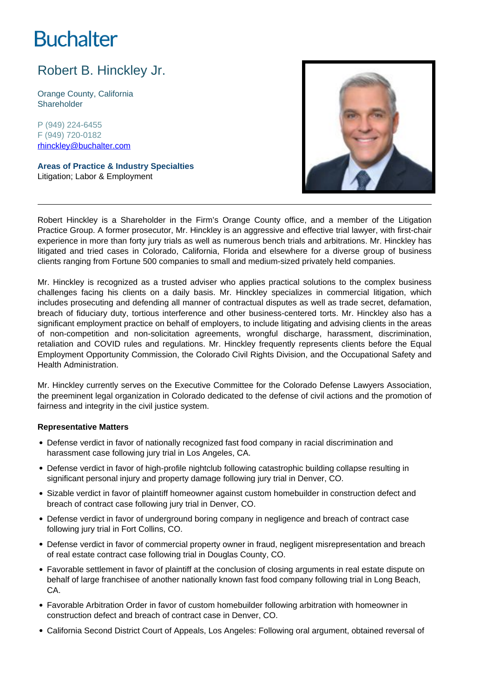# **Buchalter**

## Robert B. Hinckley Jr.

Orange County, California **Shareholder** 

P (949) 224-6455 F (949) 720-0182 rhinckley@buchalter.com

**Areas of Practice & Industry Specialties** Litigation; Labor & Employment



Robert Hinckley is a Shareholder in the Firm's Orange County office, and a member of the Litigation Practice Group. A former prosecutor, Mr. Hinckley is an aggressive and effective trial lawyer, with first-chair experience in more than forty jury trials as well as numerous bench trials and arbitrations. Mr. Hinckley has litigated and tried cases in Colorado, California, Florida and elsewhere for a diverse group of business clients ranging from Fortune 500 companies to small and medium-sized privately held companies.

Mr. Hinckley is recognized as a trusted adviser who applies practical solutions to the complex business challenges facing his clients on a daily basis. Mr. Hinckley specializes in commercial litigation, which includes prosecuting and defending all manner of contractual disputes as well as trade secret, defamation, breach of fiduciary duty, tortious interference and other business-centered torts. Mr. Hinckley also has a significant employment practice on behalf of employers, to include litigating and advising clients in the areas of non-competition and non-solicitation agreements, wrongful discharge, harassment, discrimination, retaliation and COVID rules and regulations. Mr. Hinckley frequently represents clients before the Equal Employment Opportunity Commission, the Colorado Civil Rights Division, and the Occupational Safety and Health Administration.

Mr. Hinckley currently serves on the Executive Committee for the Colorado Defense Lawyers Association, the preeminent legal organization in Colorado dedicated to the defense of civil actions and the promotion of fairness and integrity in the civil justice system.

### **Representative Matters**

- Defense verdict in favor of nationally recognized fast food company in racial discrimination and harassment case following jury trial in Los Angeles, CA.
- Defense verdict in favor of high-profile nightclub following catastrophic building collapse resulting in significant personal injury and property damage following jury trial in Denver, CO.
- Sizable verdict in favor of plaintiff homeowner against custom homebuilder in construction defect and breach of contract case following jury trial in Denver, CO.
- Defense verdict in favor of underground boring company in negligence and breach of contract case following jury trial in Fort Collins, CO.
- Defense verdict in favor of commercial property owner in fraud, negligent misrepresentation and breach of real estate contract case following trial in Douglas County, CO.
- Favorable settlement in favor of plaintiff at the conclusion of closing arguments in real estate dispute on behalf of large franchisee of another nationally known fast food company following trial in Long Beach, CA.
- Favorable Arbitration Order in favor of custom homebuilder following arbitration with homeowner in construction defect and breach of contract case in Denver, CO.
- California Second District Court of Appeals, Los Angeles: Following oral argument, obtained reversal of